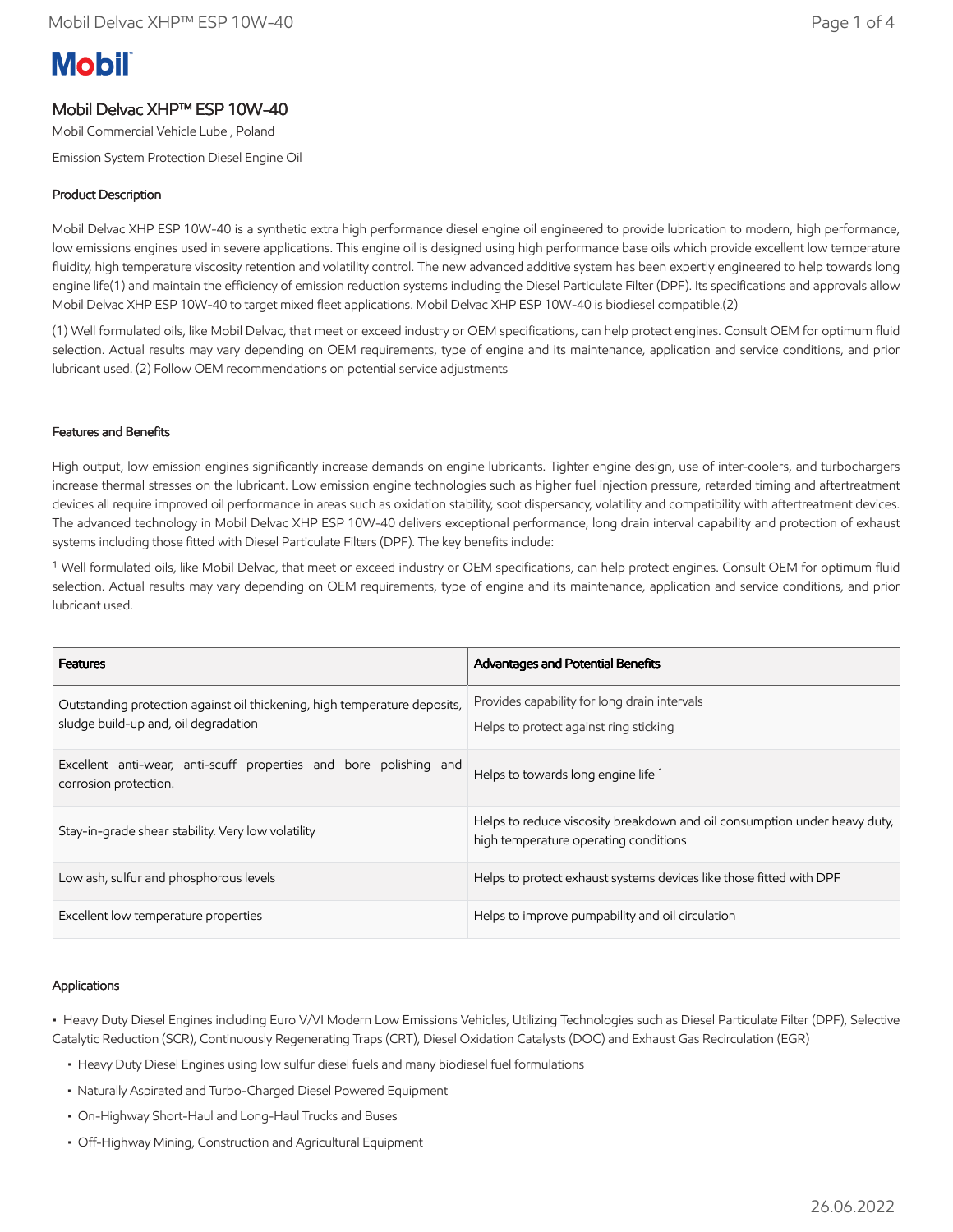# **Mobil**

# Mobil Delvac XHP™ ESP 10W-40

Mobil Commercial Vehicle Lube , Poland

Emission System Protection Diesel Engine Oil

#### Product Description

Mobil Delvac XHP ESP 10W-40 is a synthetic extra high performance diesel engine oil engineered to provide lubrication to modern, high performance, low emissions engines used in severe applications. This engine oil is designed using high performance base oils which provide excellent low temperature fluidity, high temperature viscosity retention and volatility control. The new advanced additive system has been expertly engineered to help towards long engine life(1) and maintain the efficiency of emission reduction systems including the Diesel Particulate Filter (DPF). Its specifications and approvals allow Mobil Delvac XHP ESP 10W-40 to target mixed fleet applications. Mobil Delvac XHP ESP 10W-40 is biodiesel compatible.(2)

(1) Well formulated oils, like Mobil Delvac, that meet or exceed industry or OEM specifications, can help protect engines. Consult OEM for optimum fluid selection. Actual results may vary depending on OEM requirements, type of engine and its maintenance, application and service conditions, and prior lubricant used. (2) Follow OEM recommendations on potential service adjustments

#### Features and Benefits

High output, low emission engines significantly increase demands on engine lubricants. Tighter engine design, use of inter-coolers, and turbochargers increase thermal stresses on the lubricant. Low emission engine technologies such as higher fuel injection pressure, retarded timing and aftertreatment devices all require improved oil performance in areas such as oxidation stability, soot dispersancy, volatility and compatibility with aftertreatment devices. The advanced technology in Mobil Delvac XHP ESP 10W-40 delivers exceptional performance, long drain interval capability and protection of exhaust systems including those fitted with Diesel Particulate Filters (DPF). The key benefits include:

<sup>1</sup> Well formulated oils, like Mobil Delvac, that meet or exceed industry or OEM specifications, can help protect engines. Consult OEM for optimum fluid selection. Actual results may vary depending on OEM requirements, type of engine and its maintenance, application and service conditions, and prior lubricant used.

| <b>Features</b>                                                                                                   | <b>Advantages and Potential Benefits</b>                                                                           |
|-------------------------------------------------------------------------------------------------------------------|--------------------------------------------------------------------------------------------------------------------|
| Outstanding protection against oil thickening, high temperature deposits,<br>sludge build-up and, oil degradation | Provides capability for long drain intervals<br>Helps to protect against ring sticking                             |
| Excellent anti-wear, anti-scuff properties and bore polishing and<br>corrosion protection.                        | Helps to towards long engine life <sup>1</sup>                                                                     |
| Stay-in-grade shear stability. Very low volatility                                                                | Helps to reduce viscosity breakdown and oil consumption under heavy duty,<br>high temperature operating conditions |
| Low ash, sulfur and phosphorous levels                                                                            | Helps to protect exhaust systems devices like those fitted with DPF                                                |
| Excellent low temperature properties                                                                              | Helps to improve pumpability and oil circulation                                                                   |

#### Applications

• Heavy Duty Diesel Engines including Euro V/VI Modern Low Emissions Vehicles, Utilizing Technologies such as Diesel Particulate Filter (DPF), Selective Catalytic Reduction (SCR), Continuously Regenerating Traps (CRT), Diesel Oxidation Catalysts (DOC) and Exhaust Gas Recirculation (EGR)

- Heavy Duty Diesel Engines using low sulfur diesel fuels and many biodiesel fuel formulations
- Naturally Aspirated and Turbo-Charged Diesel Powered Equipment
- On-Highway Short-Haul and Long-Haul Trucks and Buses
- Off-Highway Mining, Construction and Agricultural Equipment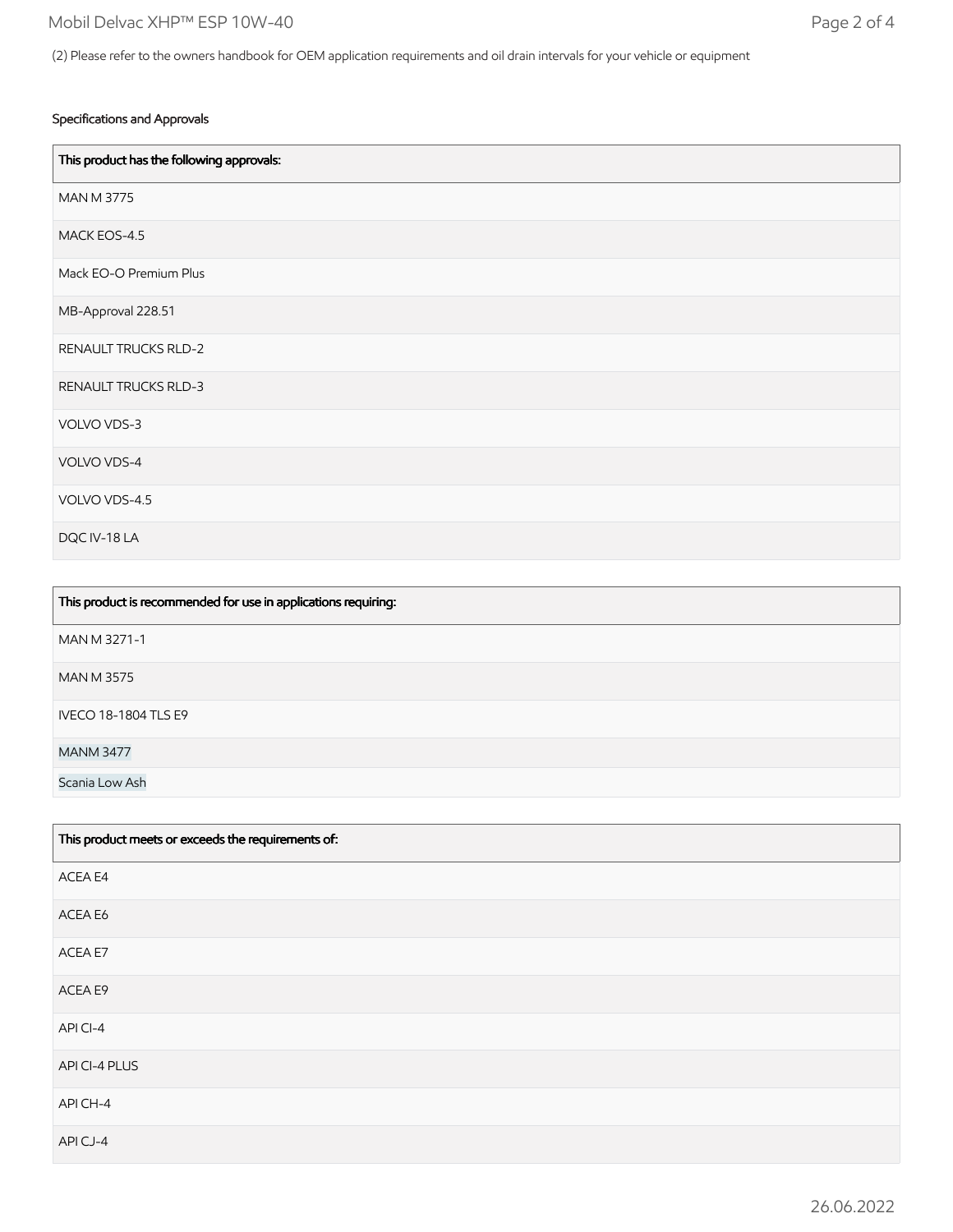## Specifications and Approvals

| This product has the following approvals: |
|-------------------------------------------|
| <b>MAN M 3775</b>                         |
| MACK EOS-4.5                              |
| Mack EO-O Premium Plus                    |
| MB-Approval 228.51                        |
| <b>RENAULT TRUCKS RLD-2</b>               |
| RENAULT TRUCKS RLD-3                      |
| VOLVO VDS-3                               |
| VOLVO VDS-4                               |
| VOLVO VDS-4.5                             |
| DQC IV-18 LA                              |

| This product is recommended for use in applications requiring: |
|----------------------------------------------------------------|
| MAN M 3271-1                                                   |
| <b>MAN M 3575</b>                                              |
| <b>IVECO 18-1804 TLS E9</b>                                    |
| <b>MANM 3477</b>                                               |
| Scania Low Ash                                                 |

| This product meets or exceeds the requirements of: |
|----------------------------------------------------|
| ACEA E4                                            |
| ACEA E6                                            |
| ACEA E7                                            |
| ACEA E9                                            |
| APICI-4                                            |
| API CI-4 PLUS                                      |
| API CH-4                                           |
| APICJ-4                                            |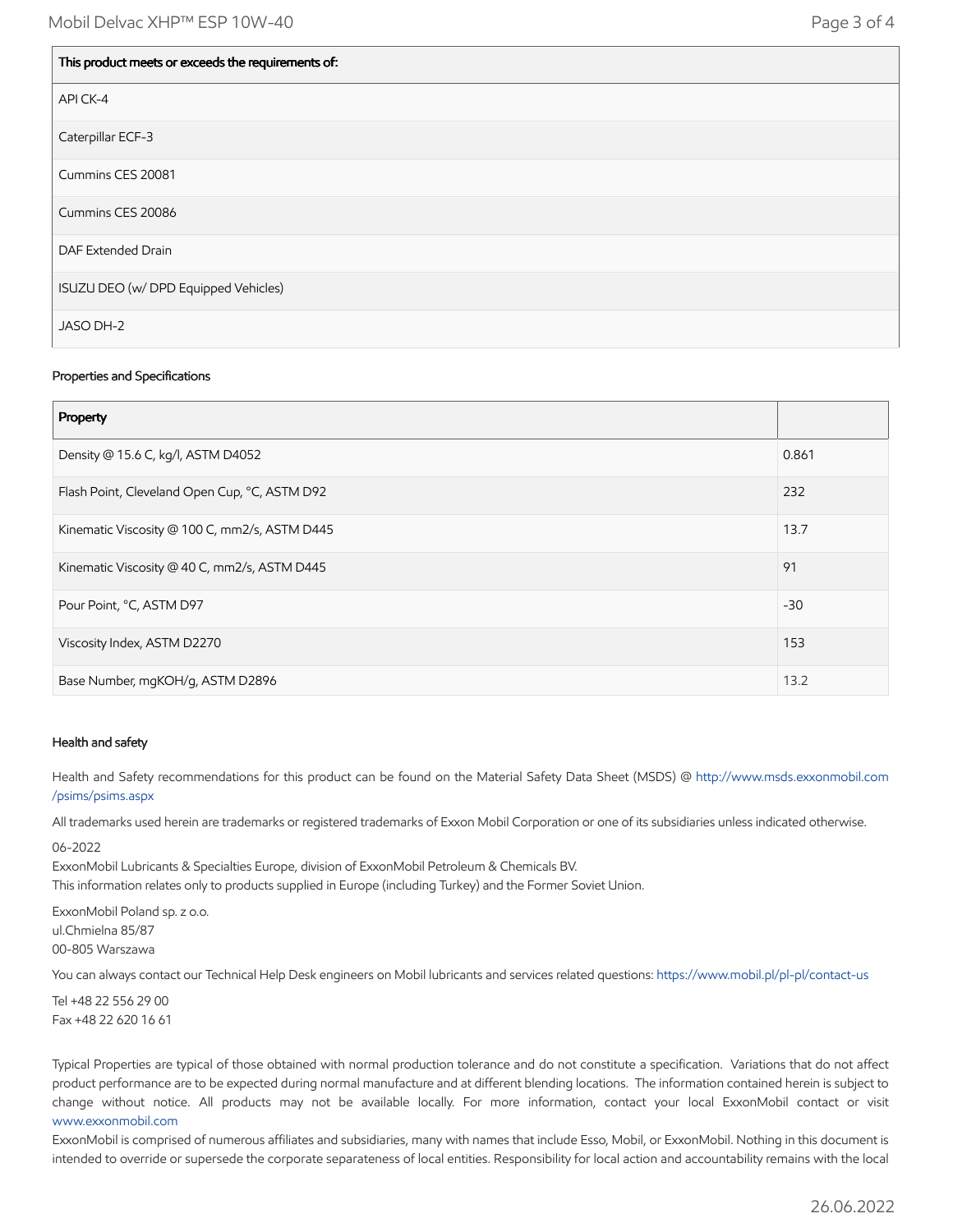| This product meets or exceeds the requirements of: |
|----------------------------------------------------|
| API CK-4                                           |
| Caterpillar ECF-3                                  |
| Cummins CES 20081                                  |
| Cummins CES 20086                                  |
| DAF Extended Drain                                 |
| ISUZU DEO (w/ DPD Equipped Vehicles)               |
| JASO DH-2                                          |

## Properties and Specifications

| Property                                      |       |
|-----------------------------------------------|-------|
| Density @ 15.6 C, kg/l, ASTM D4052            | 0.861 |
| Flash Point, Cleveland Open Cup, °C, ASTM D92 | 232   |
| Kinematic Viscosity @ 100 C, mm2/s, ASTM D445 | 13.7  |
| Kinematic Viscosity @ 40 C, mm2/s, ASTM D445  | 91    |
| Pour Point, °C, ASTM D97                      | $-30$ |
| Viscosity Index, ASTM D2270                   | 153   |
| Base Number, mgKOH/g, ASTM D2896              | 13.2  |

#### Health and safety

Health and Safety recommendations for this product can be found on the Material Safety Data Sheet (MSDS) @ [http://www.msds.exxonmobil.com](http://www.msds.exxonmobil.com/psims/psims.aspx) /psims/psims.aspx

All trademarks used herein are trademarks or registered trademarks of Exxon Mobil Corporation or one of its subsidiaries unless indicated otherwise.

06-2022

ExxonMobil Lubricants & Specialties Europe, division of ExxonMobil Petroleum & Chemicals BV.

This information relates only to products supplied in Europe (including Turkey) and the Former Soviet Union.

ExxonMobil Poland sp. z o.o. ul.Chmielna 85/87 00-805 Warszawa

You can always contact our Technical Help Desk engineers on Mobil lubricants and services related questions:<https://www.mobil.pl/pl-pl/contact-us>

Tel +48 22 556 29 00 Fax +48 22 620 16 61

Typical Properties are typical of those obtained with normal production tolerance and do not constitute a specification. Variations that do not affect product performance are to be expected during normal manufacture and at different blending locations. The information contained herein is subject to change without notice. All products may not be available locally. For more information, contact your local ExxonMobil contact or visit [www.exxonmobil.com](http://www.exxonmobil.com/)

ExxonMobil is comprised of numerous affiliates and subsidiaries, many with names that include Esso, Mobil, or ExxonMobil. Nothing in this document is intended to override or supersede the corporate separateness of local entities. Responsibility for local action and accountability remains with the local